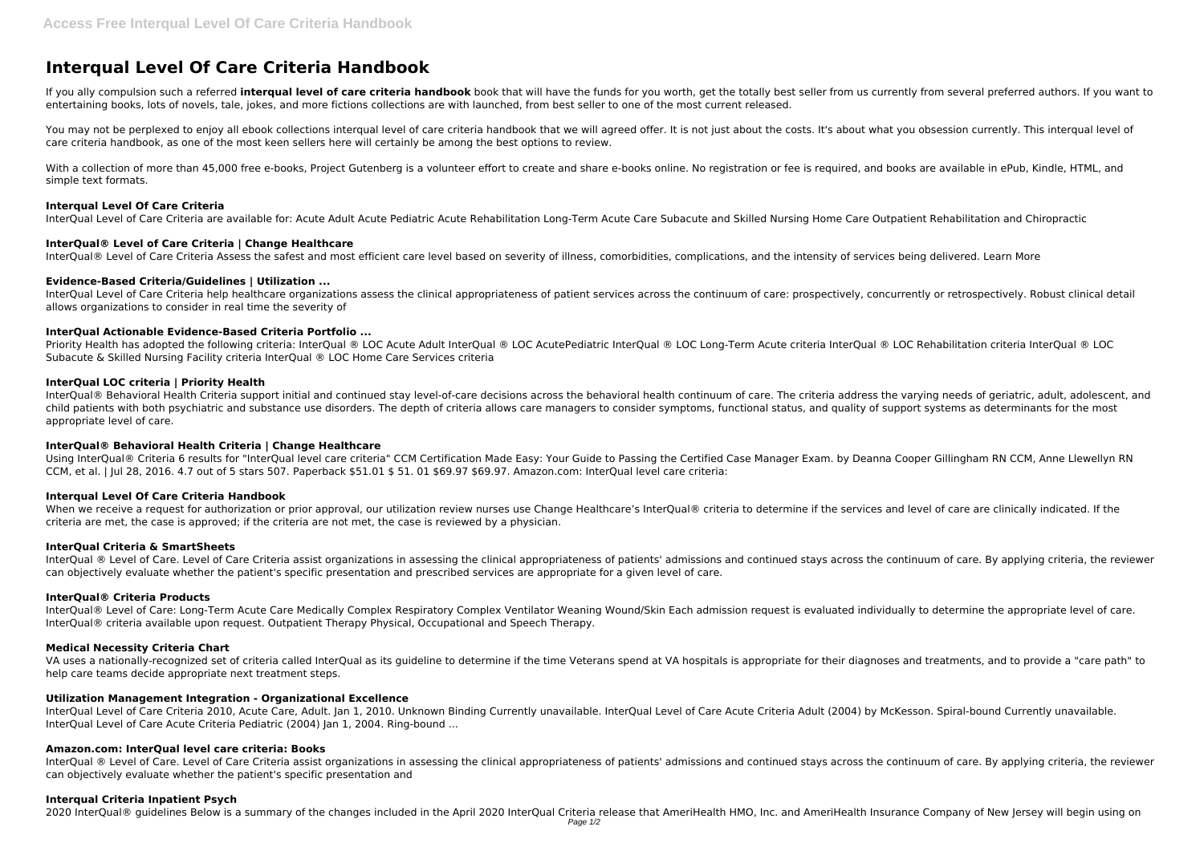# **Interqual Level Of Care Criteria Handbook**

If you ally compulsion such a referred interqual level of care criteria handbook book that will have the funds for you worth, get the totally best seller from us currently from several preferred authors. If you want to entertaining books, lots of novels, tale, jokes, and more fictions collections are with launched, from best seller to one of the most current released.

You may not be perplexed to enjoy all ebook collections interqual level of care criteria handbook that we will agreed offer. It is not just about the costs. It's about what you obsession currently. This interqual level of care criteria handbook, as one of the most keen sellers here will certainly be among the best options to review.

With a collection of more than 45,000 free e-books, Project Gutenberg is a volunteer effort to create and share e-books online. No registration or fee is required, and books are available in ePub, Kindle, HTML, and simple text formats.

## **Interqual Level Of Care Criteria**

Priority Health has adopted the following criteria: InterQual ® LOC Acute Adult InterQual ® LOC AcutePediatric InterQual ® LOC Long-Term Acute criteria InterQual ® LOC Rehabilitation criteria InterQual ® LOC LODE Perm Acut Subacute & Skilled Nursing Facility criteria InterQual ® LOC Home Care Services criteria

InterQual Level of Care Criteria are available for: Acute Adult Acute Pediatric Acute Rehabilitation Long-Term Acute Care Subacute and Skilled Nursing Home Care Outpatient Rehabilitation and Chiropractic

## **InterQual® Level of Care Criteria | Change Healthcare**

InterQual® Level of Care Criteria Assess the safest and most efficient care level based on severity of illness, comorbidities, complications, and the intensity of services being delivered. Learn More

InterQual® Behavioral Health Criteria support initial and continued stay level-of-care decisions across the behavioral health continuum of care. The criteria address the varying needs of geriatric, adult, adolescent, and child patients with both psychiatric and substance use disorders. The depth of criteria allows care managers to consider symptoms, functional status, and quality of support systems as determinants for the most appropriate level of care.

## **Evidence-Based Criteria/Guidelines | Utilization ...**

Using InterQual® Criteria 6 results for "InterQual level care criteria" CCM Certification Made Easy: Your Guide to Passing the Certified Case Manager Exam. by Deanna Cooper Gillingham RN CCM, Anne Llewellyn RN CCM, et al. | Jul 28, 2016. 4.7 out of 5 stars 507. Paperback \$51.01 \$ 51. 01 \$69.97 \$69.97. Amazon.com: InterQual level care criteria:

InterQual Level of Care Criteria help healthcare organizations assess the clinical appropriateness of patient services across the continuum of care: prospectively, concurrently or retrospectively. Robust clinical detail allows organizations to consider in real time the severity of

When we receive a request for authorization or prior approval, our utilization review nurses use Change Healthcare's InterQual® criteria to determine if the services and level of care are clinically indicated. If the criteria are met, the case is approved; if the criteria are not met, the case is reviewed by a physician.

# **InterQual Actionable Evidence-Based Criteria Portfolio ...**

InterQual ® Level of Care. Level of Care Criteria assist organizations in assessing the clinical appropriateness of patients' admissions and continued stays across the continuum of care. By applying criteria, the reviewer can objectively evaluate whether the patient's specific presentation and prescribed services are appropriate for a given level of care.

InterQual® Level of Care: Long-Term Acute Care Medically Complex Respiratory Complex Ventilator Weaning Wound/Skin Each admission request is evaluated individually to determine the appropriate level of care. InterQual® criteria available upon request. Outpatient Therapy Physical, Occupational and Speech Therapy.

# **InterQual LOC criteria | Priority Health**

InterQual ® Level of Care. Level of Care Criteria assist organizations in assessing the clinical appropriateness of patients' admissions and continued stays across the continuum of care. By applying criteria, the reviewer can objectively evaluate whether the patient's specific presentation and

## **InterQual® Behavioral Health Criteria | Change Healthcare**

## **Interqual Level Of Care Criteria Handbook**

## **InterQual Criteria & SmartSheets**

## **InterQual® Criteria Products**

## **Medical Necessity Criteria Chart**

VA uses a nationally-recognized set of criteria called InterQual as its guideline to determine if the time Veterans spend at VA hospitals is appropriate for their diagnoses and treatments, and to provide a "care path" to help care teams decide appropriate next treatment steps.

## **Utilization Management Integration - Organizational Excellence**

InterQual Level of Care Criteria 2010, Acute Care, Adult. Jan 1, 2010. Unknown Binding Currently unavailable. InterQual Level of Care Acute Criteria Adult (2004) by McKesson. Spiral-bound Currently unavailable. InterQual Level of Care Acute Criteria Pediatric (2004) Jan 1, 2004. Ring-bound ...

# **Amazon.com: InterQual level care criteria: Books**

## **Interqual Criteria Inpatient Psych**

2020 InterQual® guidelines Below is a summary of the changes included in the April 2020 InterQual Criteria release that AmeriHealth HMO, Inc. and AmeriHealth Insurance Company of New Jersey will begin using on